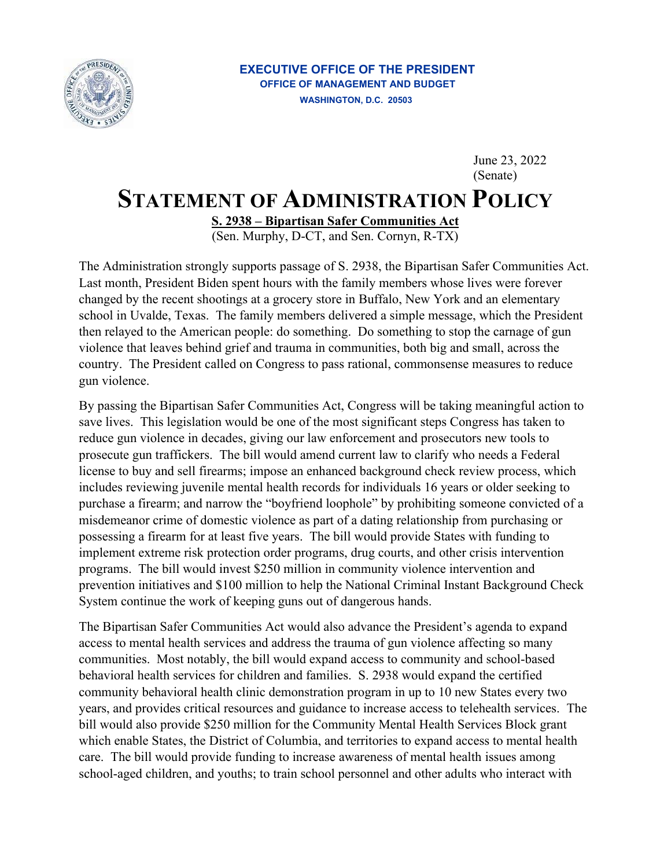

## **STATEMENT OF ADMINISTRATION POLICY**  June 23, 2022 (Senate)

**S. 2938 – Bipartisan Safer Communities Act** 

(Sen. Murphy, D-CT, and Sen. Cornyn, R-TX)

The Administration strongly supports passage of S. 2938, the Bipartisan Safer Communities Act. Last month, President Biden spent hours with the family members whose lives were forever changed by the recent shootings at a grocery store in Buffalo, New York and an elementary school in Uvalde, Texas. The family members delivered a simple message, which the President then relayed to the American people: do something. Do something to stop the carnage of gun violence that leaves behind grief and trauma in communities, both big and small, across the country. The President called on Congress to pass rational, commonsense measures to reduce gun violence.

By passing the Bipartisan Safer Communities Act, Congress will be taking meaningful action to save lives. This legislation would be one of the most significant steps Congress has taken to reduce gun violence in decades, giving our law enforcement and prosecutors new tools to prosecute gun traffickers. The bill would amend current law to clarify who needs a Federal license to buy and sell firearms; impose an enhanced background check review process, which includes reviewing juvenile mental health records for individuals 16 years or older seeking to purchase a firearm; and narrow the "boyfriend loophole" by prohibiting someone convicted of a misdemeanor crime of domestic violence as part of a dating relationship from purchasing or possessing a firearm for at least five years. The bill would provide States with funding to implement extreme risk protection order programs, drug courts, and other crisis intervention programs. The bill would invest \$250 million in community violence intervention and prevention initiatives and \$100 million to help the National Criminal Instant Background Check System continue the work of keeping guns out of dangerous hands.

The Bipartisan Safer Communities Act would also advance the President's agenda to expand access to mental health services and address the trauma of gun violence affecting so many communities. Most notably, the bill would expand access to community and school-based behavioral health services for children and families. S. 2938 would expand the certified community behavioral health clinic demonstration program in up to 10 new States every two years, and provides critical resources and guidance to increase access to telehealth services. The bill would also provide \$250 million for the Community Mental Health Services Block grant which enable States, the District of Columbia, and territories to expand access to mental health care. The bill would provide funding to increase awareness of mental health issues among school-aged children, and youths; to train school personnel and other adults who interact with